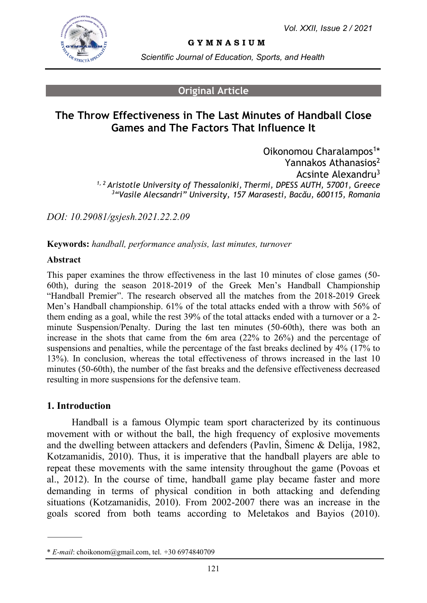

**G Y M N A S I U M**

*Scientific Journal of Education, Sports, and Health*

### **Original Article**

# **The Throw Effectiveness in The Last Minutes of Handball Close Games and The Factors That Influence It**

Oikonomou Charalampos<sup>1\*</sup> Yannakos Athanasios<sup>2</sup> Acsinte Alexandru<sup>3</sup> *1, 2 Aristotle University of Thessaloniki, Thermi, DPESS AUTH, 57001, Greece <sup>3</sup>"Vasile Alecsandri" University, 157 Marasesti, Bacău, 600115, Romania*

*DOI: 10.29081/gsjesh.2021.22.2.09*

**Keywords:** *handball, performance analysis, last minutes, turnover*

#### **Abstract**

This paper examines the throw effectiveness in the last 10 minutes of close games (50- 60th), during the season 2018-2019 of the Greek Men's Handball Championship "Handball Premier". The research observed all the matches from the 2018-2019 Greek Men's Handball championship. 61% of the total attacks ended with a throw with 56% of them ending as a goal, while the rest 39% of the total attacks ended with a turnover or a 2 minute Suspension/Penalty. During the last ten minutes (50-60th), there was both an increase in the shots that came from the 6m area (22% to 26%) and the percentage of suspensions and penalties, while the percentage of the fast breaks declined by 4% (17% to 13%). In conclusion, whereas the total effectiveness of throws increased in the last 10 minutes (50-60th), the number of the fast breaks and the defensive effectiveness decreased resulting in more suspensions for the defensive team.

#### **1. Introduction**

Handball is a famous Olympic team sport characterized by its continuous movement with or without the ball, the high frequency of explosive movements and the dwelling between attackers and defenders (Pavlin, Šimenc & Delija, 1982, Kotzamanidis, 2010). Thus, it is imperative that the handball players are able to repeat these movements with the same intensity throughout the game (Povoas et al., 2012). In the course of time, handball game play became faster and more demanding in terms of physical condition in both attacking and defending situations (Kotzamanidis, 2010). From 2002-2007 there was an increase in the goals scored from both teams according to Meletakos and Bayios (2010).

<sup>\*</sup> *E-mail*: choikonom@gmail.com, tel. +30 6974840709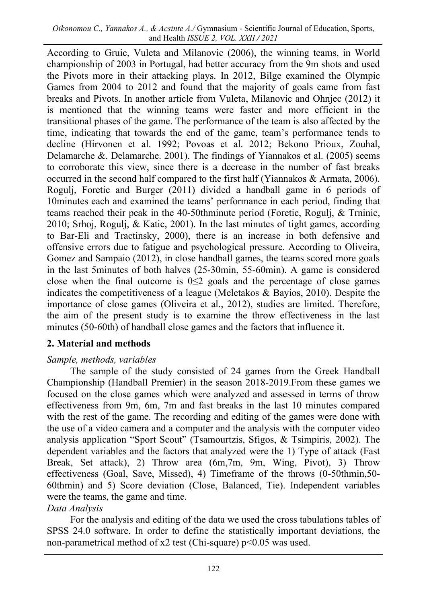According to Gruic, Vuleta and Milanovic (2006), the winning teams, in World championship of 2003 in Portugal, had better accuracy from the 9m shots and used the Pivots more in their attacking plays. In 2012, Bilge examined the Olympic Games from 2004 to 2012 and found that the majority of goals came from fast breaks and Pivots. In another article from Vuleta, Milanovic and Ohnjec (2012) it is mentioned that the winning teams were faster and more efficient in the transitional phases of the game. The performance of the team is also affected by the time, indicating that towards the end of the game, team's performance tends to decline (Hirvonen et al. 1992; Povoas et al. 2012; Bekono Prioux, Zouhal, Delamarche &. Delamarche. 2001). The findings of Yiannakos et al. (2005) seems to corroborate this view, since there is a decrease in the number of fast breaks occurred in the second half compared to the first half (Yiannakos & Armata, 2006). Rogulj, Foretic and Burger (2011) divided a handball game in 6 periods of 10minutes each and examined the teams' performance in each period, finding that teams reached their peak in the 40-50thminute period (Foretic, Rogulj, & Trninic, 2010; Srhoj, Rogulj, & Katic, 2001). In the last minutes of tight games, according to Bar-Eli and Tractinsky, 2000), there is an increase in both defensive and offensive errors due to fatigue and psychological pressure. According to Oliveira, Gomez and Sampaio (2012), in close handball games, the teams scored more goals in the last 5minutes of both halves (25-30min, 55-60min). A game is considered close when the final outcome is  $0 \le 2$  goals and the percentage of close games indicates the competitiveness of a league (Μeletakos & Bayios, 2010). Despite the importance of close games (Oliveira et al., 2012), studies are limited. Therefore, the aim of the present study is to examine the throw effectiveness in the last minutes (50-60th) of handball close games and the factors that influence it.

### **2. Material and methods**

### *Sample, methods, variables*

The sample of the study consisted of 24 games from the Greek Handball Championship (Handball Premier) in the season 2018-2019.From these games we focused on the close games which were analyzed and assessed in terms of throw effectiveness from 9m, 6m, 7m and fast breaks in the last 10 minutes compared with the rest of the game. The recording and editing of the games were done with the use of a video camera and a computer and the analysis with the computer video analysis application "Sport Scout" (Tsamourtzis, Sfigos, & Tsimpiris, 2002). The dependent variables and the factors that analyzed were the 1) Type of attack (Fast Break, Set attack), 2) Throw area (6m,7m, 9m, Wing, Pivot), 3) Throw effectiveness (Goal, Save, Missed), 4) Timeframe of the throws (0-50thmin,50- 60thmin) and 5) Score deviation (Close, Balanced, Tie). Independent variables were the teams, the game and time.

### *Data Analysis*

For the analysis and editing of the data we used the cross tabulations tables of SPSS 24.0 software. In order to define the statistically important deviations, the non-parametrical method of x2 test (Chi-square) p<0.05 was used.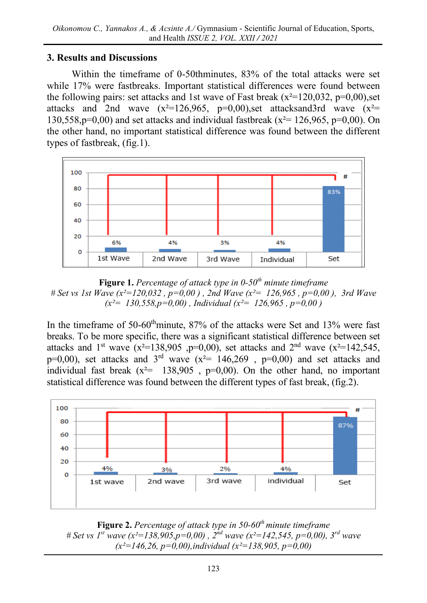# **3. Results and Discussions**

Within the timeframe of 0-50thminutes, 83% of the total attacks were set while 17% were fastbreaks. Important statistical differences were found between the following pairs: set attacks and 1st wave of Fast break ( $x^2=120,032$ ,  $p=0,00$ ), set attacks and 2nd wave  $(x^2=126,965, p=0,00)$ , set attacks and 3rd wave  $(x^2=$ 130,558,p=0,00) and set attacks and individual fastbreak ( $x^2$ = 126,965, p=0,00). On the other hand, no important statistical difference was found between the different types of fastbreak, (fig.1).



**Figure 1.** *Percentage of attack type in 0-50th minute timeframe # Set vs 1st Wave (x²=120,032 , p=0,00 ) , 2nd Wave (x²= 126,965 , p=0,00 ), 3rd Wave (x²= 130,558,p=0,00) , Individual (x²= 126,965 , p=0,00 )*

In the timeframe of  $50{\text -}60^{\text{th}}$ minute,  $87\%$  of the attacks were Set and  $13\%$  were fast breaks. To be more specific, there was a significant statistical difference between set attacks and 1<sup>st</sup> wave (x<sup>2</sup>=138,905 ,p=0,00), set attacks and 2<sup>nd</sup> wave (x<sup>2</sup>=142,545,  $p=0,00$ ), set attacks and 3<sup>rd</sup> wave ( $x^2=146,269$  ,  $p=0,00$ ) and set attacks and individual fast break  $(x^2 = 138,905, p=0,00)$ . On the other hand, no important statistical difference was found between the different types of fast break, (fig.2).



**Figure 2.** *Percentage of attack type in 50-60th minute timeframe # Set vs 1st wave (x²=138,905,p=0,00) , 2nd wave (x²=142,545, p=0,00), 3rd wave (x²=146,26, p=0,00),individual (x²=138,905, p=0,00)*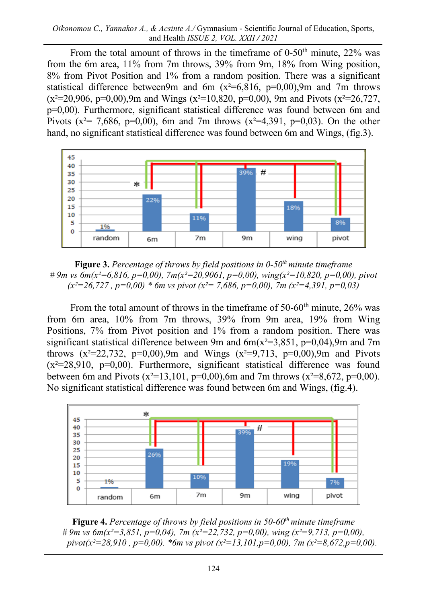From the total amount of throws in the timeframe of  $0-50<sup>th</sup>$  minute,  $22\%$  was from the 6m area, 11% from 7m throws, 39% from 9m, 18% from Wing position, 8% from Pivot Position and 1% from a random position. There was a significant statistical difference between9m and 6m  $(x^2=6,816, p=0,00)$ ,9m and 7m throws  $(x^2=20,906, p=0,00)$ , 9m and Wings  $(x^2=10,820, p=0,00)$ , 9m and Pivots  $(x^2=26,727,$ p=0,00). Furthermore, significant statistical difference was found between 6m and Pivots ( $x^2$  = 7,686, p=0,00), 6m and 7m throws ( $x^2$  = 4,391, p=0,03). On the other hand, no significant statistical difference was found between 6m and Wings, (fig.3).



**Figure 3.** *Percentage of throws by field positions in 0-50th minute timeframe # 9m vs 6m(x²=6,816, p=0,00), 7m(x²=20,9061, p=0,00), wing(x²=10,820, p=0,00), pivot (x²=26,727 , p=0,00) \* 6m vs pivot (x²= 7,686, p=0,00), 7m (x²=4,391, p=0,03)*

From the total amount of throws in the timeframe of  $50{\text -}60^{\text{th}}$  minute,  $26\%$  was from 6m area, 10% from 7m throws, 39% from 9m area, 19% from Wing Positions, 7% from Pivot position and 1% from a random position. There was significant statistical difference between 9m and  $6m(x^2=3,851, p=0,04)$ ,9m and 7m throws  $(x^2=22,732, p=0,00)$ , 9m and Wings  $(x^2=9,713, p=0,00)$ , 9m and Pivots  $(x^2=28.910, p=0.00)$ . Furthermore, significant statistical difference was found between 6m and Pivots ( $x^2=13,101$ ,  $p=0,00$ ),6m and 7m throws ( $x^2=8,672$ ,  $p=0,00$ ). No significant statistical difference was found between 6m and Wings, (fig.4).



**Figure 4.** *Percentage of throws by field positions in 50-60th minute timeframe # 9m vs 6m(x²=3,851, p=0,04), 7m (x²=22,732, p=0,00), wing (x²=9,713, p=0,00), pivot(x²=28,910 , p=0,00). \*6m vs pivot (x²=13,101,p=0,00), 7m (x²=8,672,p=0,00).*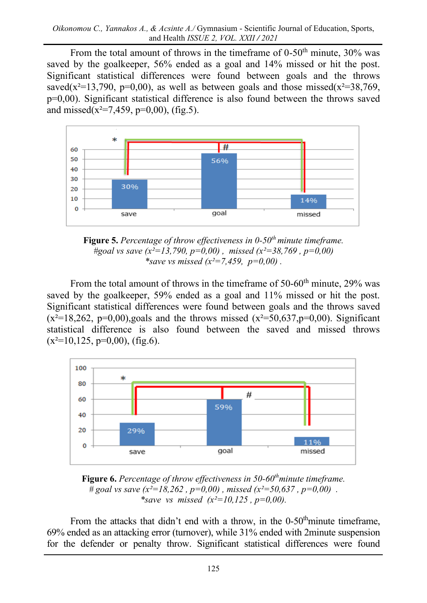From the total amount of throws in the timeframe of  $0-50<sup>th</sup>$  minute,  $30\%$  was saved by the goalkeeper, 56% ended as a goal and 14% missed or hit the post. Significant statistical differences were found between goals and the throws saved( $x^2$ =13,790, p=0,00), as well as between goals and those missed( $x^2$ =38,769, p=0,00). Significant statistical difference is also found between the throws saved and missed( $x^2=7,459, p=0,00$ ), (fig.5).



**Figure 5.** *Percentage of throw effectiveness in 0-50th minute timeframe. #goal vs save (x²=13,790, p=0,00) , missed (x²=38,769 , p=0,00) \*save vs missed (x²=7,459, p=0,00) .*

From the total amount of throws in the timeframe of  $50{\text -}60^{\text{th}}$  minute, 29% was saved by the goalkeeper, 59% ended as a goal and 11% missed or hit the post. Significant statistical differences were found between goals and the throws saved  $(x^2=18,262, p=0,00)$ , goals and the throws missed  $(x^2=50,637,p=0,00)$ . Significant statistical difference is also found between the saved and missed throws  $(x^2=10,125, p=0,00)$ , (fig.6).



**Figure 6.** *Percentage of throw effectiveness in 50-60thminute timeframe.*  $\ddot{\hat{\theta}}$  *# goal vs save (* $\dot{x}^2 = 18,262$  ,  $\dot{p} = 0,00$ ) *, missed (* $\dot{x}^2 = 50,637$  ,  $p = 0,00$ ) . *\*save vs missed (x²=10,125 , p=0,00).*

From the attacks that didn't end with a throw, in the  $0-50<sup>th</sup>$ minute timeframe, 69% ended as an attacking error (turnover), while 31% ended with 2minute suspension for the defender or penalty throw. Significant statistical differences were found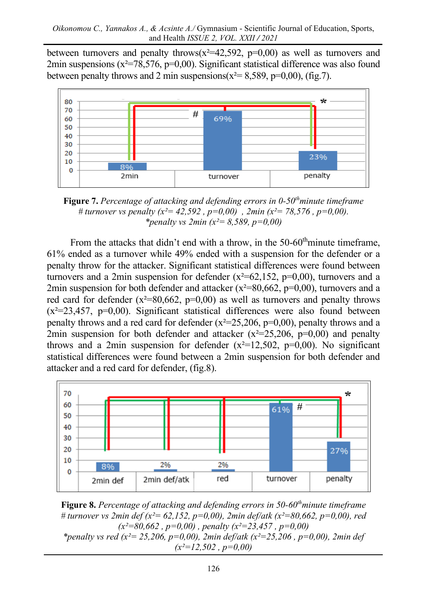between turnovers and penalty throws( $x^2=42,592$ ,  $p=0,00$ ) as well as turnovers and 2min suspensions ( $x^2$ =78,576, p=0,00). Significant statistical difference was also found between penalty throws and 2 min suspensions( $x^2 = 8,589$ , p=0,00), (fig.7).



**Figure 7.** *Percentage of attacking and defending errors in 0-50thminute timeframe # turnover vs penalty (x²= 42,592 , p=0,00) , 2min (x²= 78,576 , p=0,00). \*penalty vs 2min (x²= 8,589, p=0,00)*

From the attacks that didn't end with a throw, in the  $50{\text -}60^{\text{th}}$ minute timeframe, 61% ended as a turnover while 49% ended with a suspension for the defender or a penalty throw for the attacker. Significant statistical differences were found between turnovers and a 2min suspension for defender  $(x^2=62,152, p=0,00)$ , turnovers and a 2min suspension for both defender and attacker  $(x^2=80,662, p=0,00)$ , turnovers and a red card for defender  $(x^2=80,662, p=0,00)$  as well as turnovers and penalty throws  $(x^2=23,457, p=0,00)$ . Significant statistical differences were also found between penalty throws and a red card for defender  $(x^2=25,206, p=0,00)$ , penalty throws and a 2min suspension for both defender and attacker  $(x^2=25,206, p=0,00)$  and penalty throws and a 2min suspension for defender  $(x^2=12,502, p=0,00)$ . No significant statistical differences were found between a 2min suspension for both defender and attacker and a red card for defender, (fig.8).



**Figure 8.** *Percentage of attacking and defending errors in 50-60thminute timeframe # turnover vs 2min def (x²= 62,152, p=0,00), 2min def/atk (x²=80,662, p=0,00), red (x²=80,662 , p=0,00) , penalty (x²=23,457 , p=0,00) \*penalty vs red (x²= 25,206, p=0,00), 2min def/atk (x²=25,206 , p=0,00), 2min def* 

*(x²=12,502 , p=0,00)*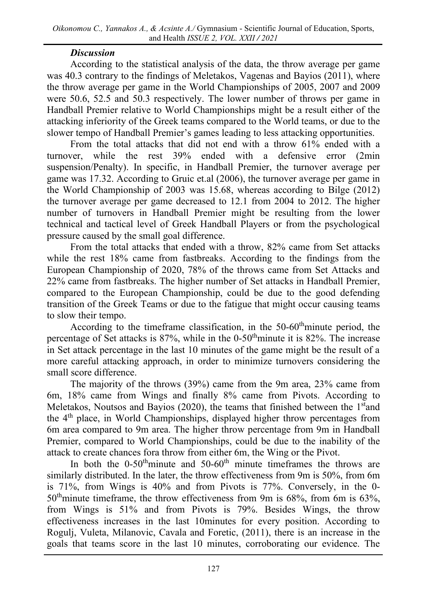# *Discussion*

According to the statistical analysis of the data, the throw average per game was 40.3 contrary to the findings of Meletakos, Vagenas and Bayios (2011), where the throw average per game in the World Championships of 2005, 2007 and 2009 were 50.6, 52.5 and 50.3 respectively. The lower number of throws per game in Handball Premier relative to World Championships might be a result either of the attacking inferiority of the Greek teams compared to the World teams, or due to the slower tempo of Handball Premier's games leading to less attacking opportunities.

From the total attacks that did not end with a throw 61% ended with a turnover, while the rest 39% ended with a defensive error (2min suspension/Penalty). In specific, in Handball Premier, the turnover average per game was 17.32. According to Gruic et.al (2006), the turnover average per game in the World Championship of 2003 was 15.68, whereas according to Bilge (2012) the turnover average per game decreased to 12.1 from 2004 to 2012. The higher number of turnovers in Handball Premier might be resulting from the lower technical and tactical level of Greek Handball Players or from the psychological pressure caused by the small goal difference.

From the total attacks that ended with a throw, 82% came from Set attacks while the rest 18% came from fastbreaks. According to the findings from the European Championship of 2020, 78% of the throws came from Set Attacks and 22% came from fastbreaks. The higher number of Set attacks in Handball Premier, compared to the European Championship, could be due to the good defending transition of the Greek Teams or due to the fatigue that might occur causing teams to slow their tempo.

According to the timeframe classification, in the  $50-60^{\text{th}}$ minute period, the percentage of Set attacks is  $87\%$ , while in the 0-50<sup>th</sup>minute it is  $82\%$ . The increase in Set attack percentage in the last 10 minutes of the game might be the result of a more careful attacking approach, in order to minimize turnovers considering the small score difference.

The majority of the throws (39%) came from the 9m area, 23% came from 6m, 18% came from Wings and finally 8% came from Pivots. According to Meletakos, Noutsos and Bayios (2020), the teams that finished between the 1<sup>st</sup>and the 4<sup>th</sup> place, in World Championships, displayed higher throw percentages from 6m area compared to 9m area. The higher throw percentage from 9m in Handball Premier, compared to World Championships, could be due to the inability of the attack to create chances fora throw from either 6m, the Wing or the Pivot.

In both the  $0-50$ <sup>th</sup>minute and  $50-60$ <sup>th</sup> minute timeframes the throws are similarly distributed. In the later, the throw effectiveness from 9m is 50%, from 6m is 71%, from Wings is 40% and from Pivots is 77%. Conversely, in the 0-  $50<sup>th</sup>$ minute timeframe, the throw effectiveness from 9m is 68%, from 6m is 63%, from Wings is 51% and from Pivots is 79%. Besides Wings, the throw effectiveness increases in the last 10minutes for every position. According to Rogulj, Vuleta, Milanovic, Cavala and Foretic, (2011), there is an increase in the goals that teams score in the last 10 minutes, corroborating our evidence. The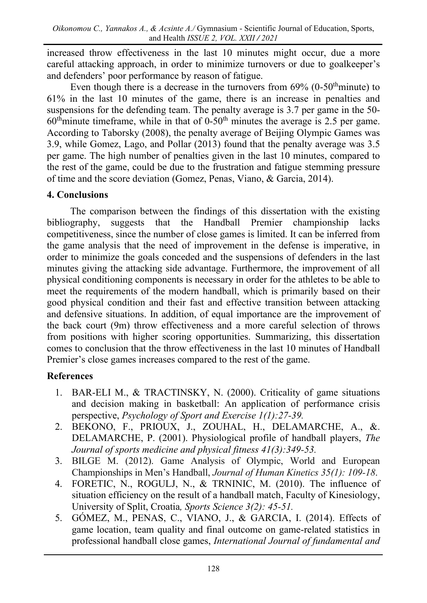increased throw effectiveness in the last 10 minutes might occur, due a more careful attacking approach, in order to minimize turnovers or due to goalkeeper's and defenders' poor performance by reason of fatigue.

Even though there is a decrease in the turnovers from  $69\%$  (0-50<sup>th</sup>minute) to 61% in the last 10 minutes of the game, there is an increase in penalties and suspensions for the defending team. The penalty average is 3.7 per game in the 50-  $60<sup>th</sup>$ minute timeframe, while in that of 0-50<sup>th</sup> minutes the average is 2.5 per game. According to Taborsky (2008), the penalty average of Beijing Olympic Games was 3.9, while Gomez, Lago, and Pollar (2013) found that the penalty average was 3.5 per game. The high number of penalties given in the last 10 minutes, compared to the rest of the game, could be due to the frustration and fatigue stemming pressure of time and the score deviation (Gomez, Penas, Viano, & Garcia, 2014).

# **4. Conclusions**

The comparison between the findings of this dissertation with the existing bibliography, suggests that the Handball Premier championship lacks competitiveness, since the number of close games is limited. It can be inferred from the game analysis that the need of improvement in the defense is imperative, in order to minimize the goals conceded and the suspensions of defenders in the last minutes giving the attacking side advantage. Furthermore, the improvement of all physical conditioning components is necessary in order for the athletes to be able to meet the requirements of the modern handball, which is primarily based on their good physical condition and their fast and effective transition between attacking and defensive situations. In addition, of equal importance are the improvement of the back court (9m) throw effectiveness and a more careful selection of throws from positions with higher scoring opportunities. Summarizing, this dissertation comes to conclusion that the throw effectiveness in the last 10 minutes of Handball Premier's close games increases compared to the rest of the game.

# **References**

- 1. BAR-ELI M., & TRACTINSKY, N. (2000). Criticality of game situations and decision making in basketball: An application of performance crisis perspective, *Psychology of Sport and Exercise 1(1):27-39.*
- 2. BEKONO, F., PRIOUX, J., ZOUHAL, H., DELAMARCHE, A., &. DELAMARCHE, P. (2001). Physiological profile of handball players, *The Journal of sports medicine and physical fitness 41(3):349-53.*
- 3. BILGE M. (2012). Game Analysis of Olympic, World and European Championships in Men's Handball, *Journal of Human Kinetics 35(1): 109-18*.
- 4. FORETIC, N., ROGULJ, N., & TRNINIC, M. (2010). The influence of situation efficiency on the result of a handball match, Faculty of Kinesiology, University of Split, Croatia*, Sports Science 3(2): 45-51.*
- 5. GÓMEZ, M., PENAS, C., VIANO, J., & GARCIA, I. (2014). Effects of game location, team quality and final outcome on game-related statistics in professional handball close games, *International Journal of fundamental and*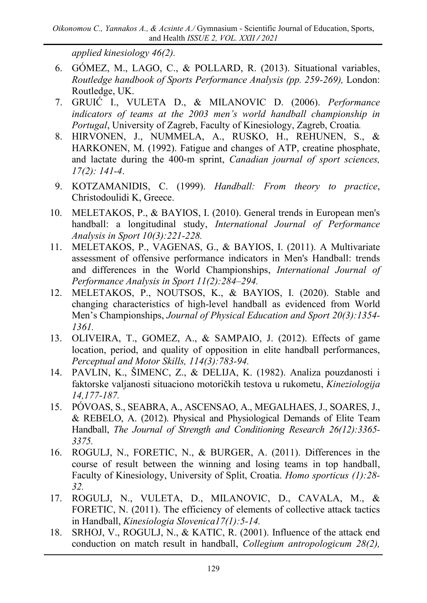*applied kinesiology 46(2).*

- 6. GÓMEZ, M., LAGO, C., & POLLARD, R. (2013). Situational variables, *Routledge handbook of Sports Performance Analysis (pp. 259-269),* London: Routledge, UK.
- 7. GRUIĆ I., VULETA D., & MILANOVIC D. (2006). *Performance indicators of teams at the 2003 men's world handball championship in Portugal*, University of Zagreb, Faculty of Kinesiology, Zagreb, Croatia*.*
- 8. HIRVONEN, J., NUMMELA, A., RUSKO, H., REHUNEN, S., & HARKONEN, M. (1992). Fatigue and changes of ATP, creatine phosphate, and lactate during the 400-m sprint, *Canadian journal of sport sciences, 17(2): 141-4*.
- 9. KOTZAMANIDIS, C. (1999). *Handball: From theory to practice*, Christodoulidi K, Greece.
- 10. MELETAKOS, P., & BAYIOS, I. (2010). General trends in European men's handball: a longitudinal study, *International Journal of Performance Analysis in Sport 10(3):221-228.*
- 11. MELETAKOS, P., VAGENAS, G., & BAYIOS, I. (2011). A Multivariate assessment of offensive performance indicators in Men's Handball: trends and differences in the World Championships, *International Journal of Performance Analysis in Sport 11(2):284–294.*
- 12. MELETAKOS, P., NOUTSOS, K., & BAYIOS, I. (2020). Stable and changing characteristics of high-level handball as evidenced from World Men's Championships, *Journal of Physical Education and Sport 20(3):1354- 1361.*
- 13. OLIVEIRA, T., GOMEZ, A., & SAMPAIO, J. (2012). Effects of game location, period, and quality of opposition in elite handball performances, *Perceptual and Motor Skills, 114(3):783-94.*
- 14. PAVLIN, K., ŠIMENC, Z., & DELIJA, K. (1982). Analiza pouzdanosti i faktorske valjanosti situaciono motoričkih testova u rukometu, *Kineziologija 14,177-187.*
- 15. PÓV[OAS,](https://www.researchgate.net/profile/Susana-Povoas) S., SEABRA, A., ASCENSAO, A., MEGALHAES, J., SOARES, J., & REBELO, A. (2012). Physical and Physiological Demands of Elite Team Handball, *The Journal of Strength and Conditioning Research 26(12):3365- 3375.*
- 16. ROGULJ, N., FORETIC, N., & BURGER, A. (2011). Differences in the course of result between the winning and losing teams in top handball, Faculty of Kinesiology, University of Split, Croatia. *Homo sporticus (1):28- 32.*
- 17. ROGULJ, N., VULETA, D., MILANOVIC, D., CAVALA, M., & FORETIC, N. (2011). The efficiency of elements of collective attack tactics in Handball, *Kinesiologia Slovenica17(1):5-14.*
- 18. SRHOJ, V., ROGULJ, N., & KATIC, R. (2001). Influence of the attack end conduction on match result in handball, *Collegium antropologicum 28(2),*